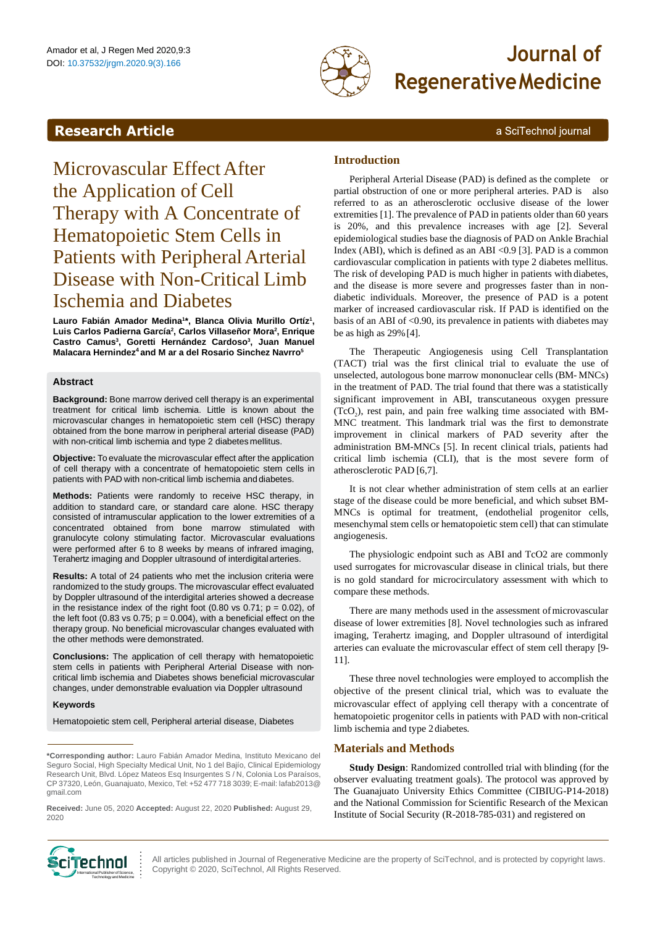

# Amador et al, J Regen Med 2020,9:3<br>DOI: 10.37532/jrgm.2020.9(3).166 **Journal of RegenerativeMedicine**

a SciTechnol journal

## <span id="page-0-0"></span>**Research Article**

## Microvascular Effect After the Application of Cell Therapy with A Concentrate of Hematopoietic Stem Cells in Patients with Peripheral Arterial Disease with Non-Critical Limb Ischemia and Diabetes

**Lauro Fabián Amador Medina<sup>1</sup> \*, Blanca Olivia Murillo Ortíz<sup>1</sup> , Luis Carlos Padierna García<sup>2</sup> , Carlos Villaseñor Mora<sup>2</sup> , Enrique Castro Camus<sup>3</sup> , Goretti Hernández Cardoso<sup>3</sup> , Juan Manuel Malacara Hernindez<sup>4</sup>and M ar a del Rosario Sinchez Navrro<sup>5</sup>**

#### **Abstract**

**Background:** Bone marrow derived cell therapy is an experimental treatment for critical limb ischemia. Little is known about the microvascular changes in hematopoietic stem cell (HSC) therapy obtained from the bone marrow in peripheral arterial disease (PAD) with non-critical limb ischemia and type 2 diabetes mellitus.

**Objective:** To evaluate the microvascular effect after the application of cell therapy with a concentrate of hematopoietic stem cells in patients with PAD with non-critical limb ischemia and diabetes.

**Methods:** Patients were randomly to receive HSC therapy, in addition to standard care, or standard care alone. HSC therapy consisted of intramuscular application to the lower extremities of a concentrated obtained from bone marrow stimulated with granulocyte colony stimulating factor. Microvascular evaluations were performed after 6 to 8 weeks by means of infrared imaging, Terahertz imaging and Doppler ultrasound of interdigitalarteries.

**Results:** A total of 24 patients who met the inclusion criteria were randomized to the study groups. The microvascular effect evaluated by Doppler ultrasound of the interdigital arteries showed a decrease in the resistance index of the right foot (0.80 vs 0.71;  $p = 0.02$ ), of the left foot (0.83 vs 0.75;  $p = 0.004$ ), with a beneficial effect on the therapy group. No beneficial microvascular changes evaluated with the other methods were demonstrated.

**Conclusions:** The application of cell therapy with hematopoietic stem cells in patients with Peripheral Arterial Disease with noncritical limb ischemia and Diabetes shows beneficial microvascular changes, under demonstrable evaluation via Doppler ultrasound

#### **Keywords**

Hematopoietic stem cell, Peripheral arterial disease, Diabetes

**Received:** June 05, 2020 **Accepted:** August 22, 2020 **Published:** August 29, 2020

### **Introduction**

Peripheral Arterial Disease (PAD) is defined as the complete or partial obstruction of one or more peripheral arteries. PAD is also referred to as an atherosclerotic occlusive disease of the lower extremities [1]. The prevalence of PAD in patients older than 60 years is 20%, and this prevalence increases with age [2]. Several epidemiological studies base the diagnosis of PAD on Ankle Brachial Index (ABI), which is defined as an ABI <0.9 [3]. PAD is a common cardiovascular complication in patients with type 2 diabetes mellitus. The risk of developing PAD is much higher in patients with diabetes, and the disease is more severe and progresses faster than in nondiabetic individuals. Moreover, the presence of PAD is a potent marker of increased cardiovascular risk. If PAD is identified on the basis of an ABI of <0.90, its prevalence in patients with diabetes may be as high as  $29\%$  [4].

The Therapeutic Angiogenesis using Cell Transplantation (TACT) trial was the first clinical trial to evaluate the use of unselected, autologous bone marrow mononuclear cells (BM- MNCs) in the treatment of PAD. The trial found that there was a statistically significant improvement in ABI, transcutaneous oxygen pressure  $(TcO<sub>2</sub>)$ , rest pain, and pain free walking time associated with BM-MNC treatment. This landmark trial was the first to demonstrate improvement in clinical markers of PAD severity after the administration BM-MNCs [5]. In recent clinical trials, patients had critical limb ischemia (CLI), that is the most severe form of atherosclerotic PAD [6,7].

It is not clear whether administration of stem cells at an earlier stage of the disease could be more beneficial, and which subset BM-MNCs is optimal for treatment, (endothelial progenitor cells, mesenchymal stem cells or hematopoietic stem cell) that can stimulate angiogenesis.

The physiologic endpoint such as ABI and TcO2 are commonly used surrogates for microvascular disease in clinical trials, but there is no gold standard for microcirculatory assessment with which to compare these methods.

There are many methods used in the assessment of microvascular disease of lower extremities [8]. Novel technologies such as infrared imaging, Terahertz imaging, and Doppler ultrasound of interdigital arteries can evaluate the microvascular effect of stem cell therapy [9- 11].

These three novel technologies were employed to accomplish the objective of the present clinical trial, which was to evaluate the microvascular effect of applying cell therapy with a concentrate of hematopoietic progenitor cells in patients with PAD with non-critical limb ischemia and type 2diabetes.

## **Materials and Methods**

**Study Design**: Randomized controlled trial with blinding (for the observer evaluating treatment goals). The protocol was approved by The Guanajuato University Ethics Committee (CIBIUG-P14-2018) and the National Commission for Scientific Research of the Mexican Institute of Social Security (R-2018-785-031) and registered on



All articles published in Journal of Regenerative Medicine are the property of SciTechnol, and is protected by copyright laws. COMOL : All articles published in Journal of Regenerative Meer<br>Copyright © 2020, SciTechnol, All Rights Reserved.

**<sup>\*</sup>Corresponding author:** Lauro Fabián Amador Medina, Instituto Mexicano del Seguro Social, High Specialty Medical Unit, No 1 del Bajío, Clinical Epidemiology Research Unit, Blvd. López Mateos Esq Insurgentes S / N, Colonia Los Paraísos, CP 37320, León, Guanajuato, Mexico, Tel: +52 477 718 3039; E-mail: lafab2013@ gmail.com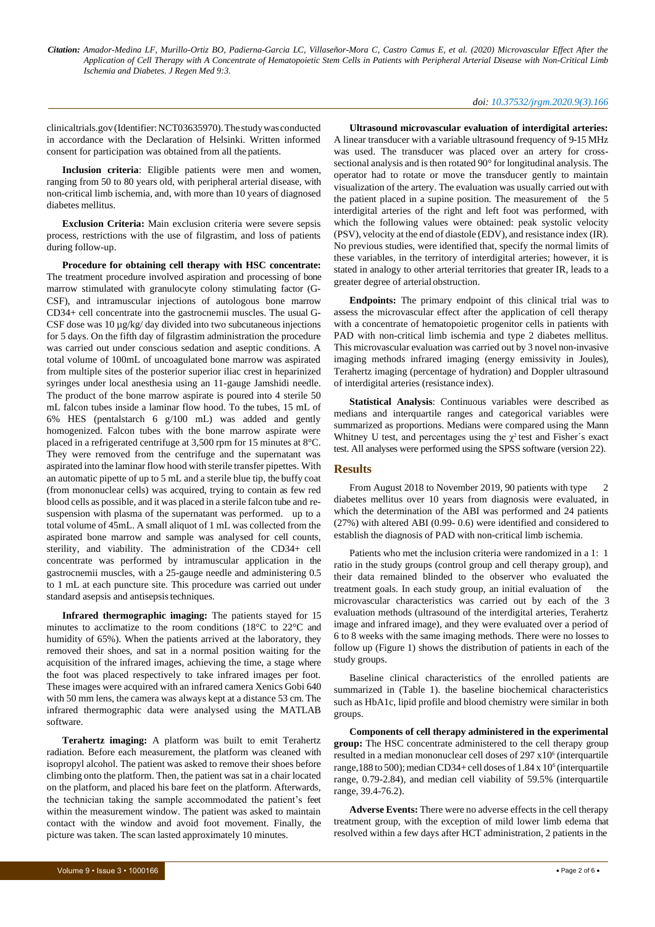#### *doi: 10.37532/jrgm.2020.9(3).166*

clinicaltrials.gov(Identifier:NCT03635970).The studywas conducted in accordance with the Declaration of Helsinki. Written informed consent for participation was obtained from all the patients.

**Inclusion criteria**: Eligible patients were men and women, ranging from 50 to 80 years old, with peripheral arterial disease, with non-critical limb ischemia, and, with more than 10 years of diagnosed diabetes mellitus.

**Exclusion Criteria:** Main exclusion criteria were severe sepsis process, restrictions with the use of filgrastim, and loss of patients during follow-up.

**Procedure for obtaining cell therapy with HSC concentrate:**  The treatment procedure involved aspiration and processing of bone marrow stimulated with granulocyte colony stimulating factor (G-CSF), and intramuscular injections of autologous bone marrow CD34+ cell concentrate into the gastrocnemii muscles. The usual G-CSF dose was 10 µg/kg/ day divided into two subcutaneous injections for 5 days. On the fifth day of filgrastim administration the procedure was carried out under conscious sedation and aseptic conditions. A total volume of 100mL of uncoagulated bone marrow was aspirated from multiple sites of the posterior superior iliac crest in heparinized syringes under local anesthesia using an 11-gauge Jamshidi needle. The product of the bone marrow aspirate is poured into 4 sterile 50 mL falcon tubes inside a laminar flow hood. To the tubes, 15 mL of 6% HES (pentalstarch 6 g/100 mL) was added and gently homogenized. Falcon tubes with the bone marrow aspirate were placed in a refrigerated centrifuge at 3,500 rpm for 15 minutes at 8°C. They were removed from the centrifuge and the supernatant was aspirated into the laminar flow hood with sterile transfer pipettes. With an automatic pipette of up to 5 mL and a sterile blue tip, the buffy coat (from mononuclear cells) was acquired, trying to contain as few red blood cells as possible, and it was placed in a sterile falcon tube and resuspension with plasma of the supernatant was performed. up to a total volume of 45mL. A small aliquot of 1 mL was collected from the aspirated bone marrow and sample was analysed for cell counts, sterility, and viability. The administration of the CD34+ cell concentrate was performed by intramuscular application in the gastrocnemii muscles, with a 25-gauge needle and administering 0.5 to 1 mL at each puncture site. This procedure was carried out under standard asepsis and antisepsistechniques.

**Infrared thermographic imaging:** The patients stayed for 15 minutes to acclimatize to the room conditions (18°C to 22°C and humidity of 65%). When the patients arrived at the laboratory, they removed their shoes, and sat in a normal position waiting for the acquisition of the infrared images, achieving the time, a stage where the foot was placed respectively to take infrared images per foot. These images were acquired with an infrared camera Xenics Gobi 640 with 50 mm lens, the camera was always kept at a distance 53 cm. The infrared thermographic data were analysed using the MATLAB software.

**Terahertz imaging:** A platform was built to emit Terahertz radiation. Before each measurement, the platform was cleaned with isopropyl alcohol. The patient was asked to remove their shoes before climbing onto the platform. Then, the patient was sat in a chair located on the platform, and placed his bare feet on the platform. Afterwards, the technician taking the sample accommodated the patient's feet within the measurement window. The patient was asked to maintain contact with the window and avoid foot movement. Finally, the picture was taken. The scan lasted approximately 10 minutes.

**Ultrasound microvascular evaluation of interdigital arteries:**  A linear transducer with a variable ultrasound frequency of 9-15 MHz was used. The transducer was placed over an artery for crosssectional analysis and is then rotated 90° for longitudinal analysis. The operator had to rotate or move the transducer gently to maintain visualization of the artery. The evaluation was usually carried out with the patient placed in a supine position. The measurement of the 5 interdigital arteries of the right and left foot was performed, with which the following values were obtained: peak systolic velocity (PSV), velocity at the end of diastole (EDV), and resistance index (IR). No previous studies, were identified that, specify the normal limits of these variables, in the territory of interdigital arteries; however, it is stated in analogy to other arterial territories that greater IR, leads to a greater degree of arterial obstruction.

**Endpoints:** The primary endpoint of this clinical trial was to assess the microvascular effect after the application of cell therapy with a concentrate of hematopoietic progenitor cells in patients with PAD with non-critical limb ischemia and type 2 diabetes mellitus. This microvascular evaluation was carried out by 3 novel non-invasive imaging methods infrared imaging (energy emissivity in Joules), Terahertz imaging (percentage of hydration) and Doppler ultrasound of interdigital arteries (resistance index).

**Statistical Analysis**: Continuous variables were described as medians and interquartile ranges and categorical variables were summarized as proportions. Medians were compared using the Mann Whitney U test, and percentages using the  $\chi^2$  test and Fisher's exact test. All analyses were performed using the SPSS software (version 22).

#### **Results**

From August 2018 to November 2019, 90 patients with type diabetes mellitus over 10 years from diagnosis were evaluated, in which the determination of the ABI was performed and 24 patients (27%) with altered ABI (0.99- 0.6) were identified and considered to establish the diagnosis of PAD with non-critical limb ischemia.

Patients who met the inclusion criteria were randomized in a 1: 1 ratio in the study groups (control group and cell therapy group), and their data remained blinded to the observer who evaluated the treatment goals. In each study group, an initial evaluation of the microvascular characteristics was carried out by each of the 3 evaluation methods (ultrasound of the interdigital arteries, Terahertz image and infrared image), and they were evaluated over a period of 6 to 8 weeks with the same imaging methods. There were no losses to follow up (Figure 1) shows the distribution of patients in each of the study groups.

Baseline clinical characteristics of the enrolled patients are summarized in (Table 1). the baseline biochemical characteristics such as HbA1c, lipid profile and blood chemistry were similar in both groups.

**Components of cell therapy administered in the experimental group:** The HSC concentrate administered to the cell therapy group resulted in a median mononuclear cell doses of 297 x10<sup>6</sup> (interquartile range, 188 to 500); median CD34+ cell doses of  $1.84 \times 10^6$  (interquartile range, 0.79-2.84), and median cell viability of 59.5% (interquartile range, 39.4-76.2).

**Adverse Events:** There were no adverse effects in the cell therapy treatment group, with the exception of mild lower limb edema that resolved within a few days after HCT administration, 2 patients in the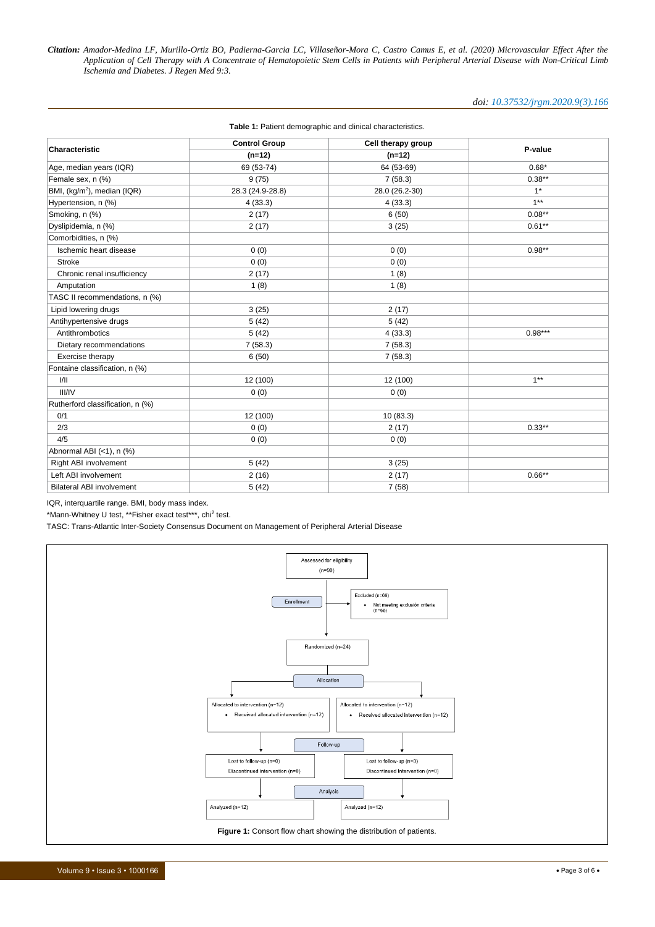#### *doi: 10.37532/jrgm.2020.9(3).166*

|                                         | <b>Control Group</b> | Cell therapy group |           |  |  |
|-----------------------------------------|----------------------|--------------------|-----------|--|--|
| Characteristic                          | $(n=12)$             | $(n=12)$           | P-value   |  |  |
| Age, median years (IQR)                 | 69 (53-74)           | 64 (53-69)         | $0.68*$   |  |  |
| Female sex, n (%)                       | 9(75)                | 7(58.3)            | $0.38**$  |  |  |
| BMI, (kg/m <sup>2</sup> ), median (IQR) | 28.3 (24.9-28.8)     | 28.0 (26.2-30)     | $1^*$     |  |  |
| Hypertension, n (%)                     | 4(33.3)              | 4(33.3)            | $1***$    |  |  |
| Smoking, n (%)                          | 2(17)                | 6(50)              | $0.08***$ |  |  |
| Dyslipidemia, n (%)                     | 2(17)                | 3(25)              | $0.61**$  |  |  |
| Comorbidities, n (%)                    |                      |                    |           |  |  |
| Ischemic heart disease                  | 0(0)                 | 0(0)               | $0.98**$  |  |  |
| <b>Stroke</b>                           | 0(0)                 | 0(0)               |           |  |  |
| Chronic renal insufficiency             | 2(17)                | 1(8)               |           |  |  |
| Amputation                              | 1(8)                 | 1(8)               |           |  |  |
| TASC II recommendations, n (%)          |                      |                    |           |  |  |
| Lipid lowering drugs                    | 3(25)                | 2(17)              |           |  |  |
| Antihypertensive drugs                  | 5(42)                | 5(42)              |           |  |  |
| Antithrombotics                         | 5(42)                | 4(33.3)            | $0.98***$ |  |  |
| Dietary recommendations                 | 7(58.3)              | 7(58.3)            |           |  |  |
| Exercise therapy                        | 6(50)                | 7(58.3)            |           |  |  |
| Fontaine classification, n (%)          |                      |                    |           |  |  |
| VII                                     | 12 (100)             | 12 (100)           | $1***$    |  |  |
| <b>III/IV</b>                           | 0(0)                 | 0(0)               |           |  |  |
| Rutherford classification, n (%)        |                      |                    |           |  |  |
| 0/1                                     | 12 (100)             | 10(83.3)           |           |  |  |
| 2/3                                     | 0(0)                 | 2(17)              | $0.33***$ |  |  |
| 4/5                                     | 0(0)                 | 0(0)               |           |  |  |
| Abnormal ABI (<1), n (%)                |                      |                    |           |  |  |
| Right ABI involvement                   | 5(42)                | 3(25)              |           |  |  |
| Left ABI involvement                    | 2(16)                | 2(17)              | $0.66***$ |  |  |
| <b>Bilateral ABI involvement</b>        | 5(42)                | 7(58)              |           |  |  |

#### **Table 1:** Patient demographic and clinical characteristics.

IQR, interquartile range. BMI, body mass index.

\*Mann-Whitney U test, \*\*Fisher exact test\*\*\*, chi<sup>2</sup> test.

TASC: Trans-Atlantic Inter-Society Consensus Document on Management of Peripheral Arterial Disease

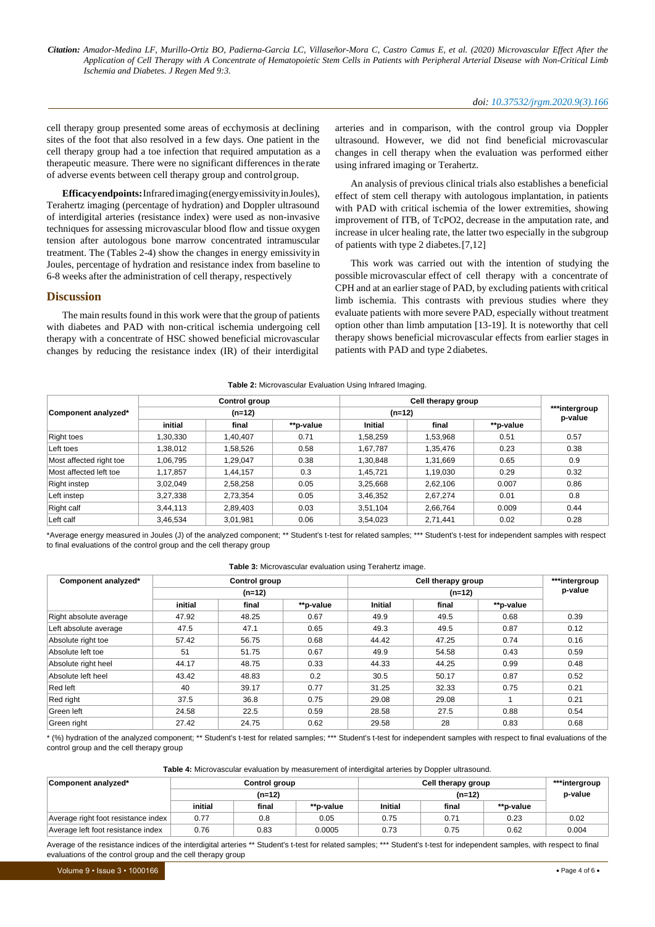cell therapy group presented some areas of ecchymosis at declining sites of the foot that also resolved in a few days. One patient in the cell therapy group had a toe infection that required amputation as a therapeutic measure. There were no significant differences in therate of adverse events between cell therapy group and controlgroup.

**Efficacyendpoints:**Infraredimaging(energyemissivityinJoules), Terahertz imaging (percentage of hydration) and Doppler ultrasound of interdigital arteries (resistance index) were used as non-invasive techniques for assessing microvascular blood flow and tissue oxygen tension after autologous bone marrow concentrated intramuscular treatment. The (Tables 2-4) show the changes in energy emissivityin Joules, percentage of hydration and resistance index from baseline to 6-8 weeks after the administration of cell therapy, respectively

#### **Discussion**

The main results found in this work were that the group of patients with diabetes and PAD with non-critical ischemia undergoing cell therapy with a concentrate of HSC showed beneficial microvascular changes by reducing the resistance index (IR) of their interdigital

arteries and in comparison, with the control group via Doppler ultrasound. However, we did not find beneficial microvascular changes in cell therapy when the evaluation was performed either using infrared imaging or Terahertz.

An analysis of previous clinical trials also establishes a beneficial effect of stem cell therapy with autologous implantation, in patients with PAD with critical ischemia of the lower extremities, showing improvement of ITB, of TcPO2, decrease in the amputation rate, and increase in ulcer healing rate, the latter two especially in the subgroup of patients with type 2 diabetes.[7,12]

This work was carried out with the intention of studying the possible microvascular effect of cell therapy with a concentrate of CPH and at an earlier stage of PAD, by excluding patients with critical limb ischemia. This contrasts with previous studies where they evaluate patients with more severe PAD, especially without treatment option other than limb amputation [13-19]. It is noteworthy that cell therapy shows beneficial microvascular effects from earlier stages in patients with PAD and type 2diabetes.

| Component analyzed*     | <b>Control group</b><br>$(n=12)$ |          |          | Cell therapy group<br>$(n=12)$ |          |          | ***intergroup<br>p-value |
|-------------------------|----------------------------------|----------|----------|--------------------------------|----------|----------|--------------------------|
|                         |                                  |          |          |                                |          |          |                          |
|                         | <b>Right toes</b>                | 1,30,330 | 1,40,407 | 0.71                           | 1,58,259 | 1,53,968 | 0.51                     |
| Left toes               | 1,38,012                         | 1,58,526 | 0.58     | 1,67,787                       | 1,35,476 | 0.23     | 0.38                     |
| Most affected right toe | 1,06,795                         | 1,29,047 | 0.38     | 1,30,848                       | 1,31,669 | 0.65     | 0.9                      |
| Most affected left toe  | 1.17.857                         | 1,44,157 | 0.3      | 1.45.721                       | 1,19,030 | 0.29     | 0.32                     |
| Right instep            | 3,02,049                         | 2,58,258 | 0.05     | 3,25,668                       | 2,62,106 | 0.007    | 0.86                     |
| Left instep             | 3,27,338                         | 2,73,354 | 0.05     | 3,46,352                       | 2.67.274 | 0.01     | 0.8                      |
| Right calf              | 3,44,113                         | 2,89,403 | 0.03     | 3,51,104                       | 2,66,764 | 0.009    | 0.44                     |
| Left calf               | 3,46,534                         | 3,01,981 | 0.06     | 3,54,023                       | 2,71,441 | 0.02     | 0.28                     |

**Table 2:** Microvascular Evaluation Using Infrared Imaging.

\*Average energy measured in Joules (J) of the analyzed component; \*\* Student's t-test for related samples; \*\*\* Student's t-test for independent samples with respect to final evaluations of the control group and the cell therapy group

| Component analyzed*   | Control group<br>$(n=12)$ |       |       | Cell therapy group<br>$(n=12)$ |       |      | ***intergroup<br>p-value |
|-----------------------|---------------------------|-------|-------|--------------------------------|-------|------|--------------------------|
|                       |                           |       |       |                                |       |      |                          |
|                       | Right absolute average    | 47.92 | 48.25 | 0.67                           | 49.9  | 49.5 | 0.68                     |
| Left absolute average | 47.5                      | 47.1  | 0.65  | 49.3                           | 49.5  | 0.87 | 0.12                     |
| Absolute right toe    | 57.42                     | 56.75 | 0.68  | 44.42                          | 47.25 | 0.74 | 0.16                     |
| Absolute left toe     | 51                        | 51.75 | 0.67  | 49.9                           | 54.58 | 0.43 | 0.59                     |
| Absolute right heel   | 44.17                     | 48.75 | 0.33  | 44.33                          | 44.25 | 0.99 | 0.48                     |
| Absolute left heel    | 43.42                     | 48.83 | 0.2   | 30.5                           | 50.17 | 0.87 | 0.52                     |
| Red left              | 40                        | 39.17 | 0.77  | 31.25                          | 32.33 | 0.75 | 0.21                     |
| Red right             | 37.5                      | 36.8  | 0.75  | 29.08                          | 29.08 |      | 0.21                     |
| Green left            | 24.58                     | 22.5  | 0.59  | 28.58                          | 27.5  | 0.88 | 0.54                     |
| Green right           | 27.42                     | 24.75 | 0.62  | 29.58                          | 28    | 0.83 | 0.68                     |

\* (%) hydration of the analyzed component; \*\* Student's t-test for related samples; \*\*\* Student's t-test for independent samples with respect to final evaluations of the control group and the cell therapy group

**Table 4:** Microvascular evaluation by measurement of interdigital arteries by Doppler ultrasound.

| Component analyzed*                 | Control group |       | Cell therapy group | ***intergroup<br>p-value |       |           |       |
|-------------------------------------|---------------|-------|--------------------|--------------------------|-------|-----------|-------|
|                                     | $(n=12)$      |       |                    |                          |       |           |       |
|                                     | initial       | final | **p-value          | <b>Initial</b>           | final | **p-value |       |
| Average right foot resistance index | 0.77          | 0.8   | 0.05               | 0.75                     | 0.71  | 0.23      | 0.02  |
| Average left foot resistance index  | 0.76          | 0.83  | 0.0005             | 0.73                     | 0.75  | 0.62      | 0.004 |

Average of the resistance indices of the interdigital arteries \*\* Student's t-test for related samples; \*\*\* Student's t-test for independent samples, with respect to final evaluations of the control group and the cell therapy group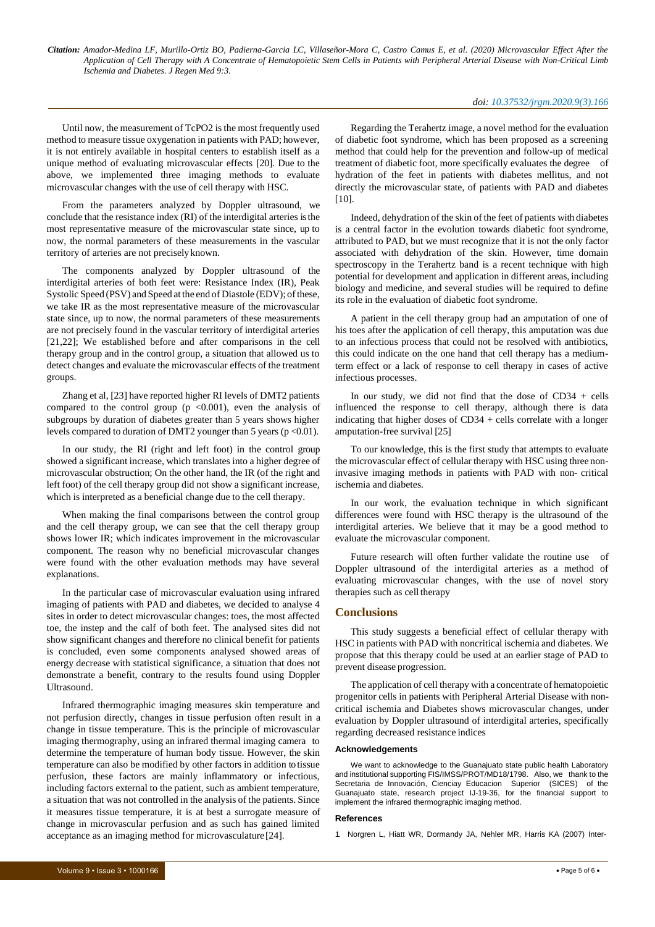Until now, the measurement of TcPO2 is the most frequently used method to measure tissue oxygenation in patients with PAD; however, it is not entirely available in hospital centers to establish itself as a unique method of evaluating microvascular effects [20]. Due to the above, we implemented three imaging methods to evaluate microvascular changes with the use of cell therapy with HSC.

From the parameters analyzed by Doppler ultrasound, we conclude that the resistance index (RI) of the interdigital arteries is the most representative measure of the microvascular state since, up to now, the normal parameters of these measurements in the vascular territory of arteries are not preciselyknown.

The components analyzed by Doppler ultrasound of the interdigital arteries of both feet were: Resistance Index (IR), Peak Systolic Speed (PSV) and Speed at the end of Diastole (EDV); of these, we take IR as the most representative measure of the microvascular state since, up to now, the normal parameters of these measurements are not precisely found in the vascular territory of interdigital arteries [21,22]; We established before and after comparisons in the cell therapy group and in the control group, a situation that allowed us to detect changes and evaluate the microvascular effects of the treatment groups.

Zhang et al, [23] have reported higher RI levels of DMT2 patients compared to the control group ( $p \le 0.001$ ), even the analysis of subgroups by duration of diabetes greater than 5 years shows higher levels compared to duration of DMT2 younger than 5 years (p <0.01).

In our study, the RI (right and left foot) in the control group showed a significant increase, which translates into a higher degree of microvascular obstruction; On the other hand, the IR (of the right and left foot) of the cell therapy group did not show a significant increase, which is interpreted as a beneficial change due to the cell therapy.

When making the final comparisons between the control group and the cell therapy group, we can see that the cell therapy group shows lower IR; which indicates improvement in the microvascular component. The reason why no beneficial microvascular changes were found with the other evaluation methods may have several explanations.

In the particular case of microvascular evaluation using infrared imaging of patients with PAD and diabetes, we decided to analyse 4 sites in order to detect microvascular changes: toes, the most affected toe, the instep and the calf of both feet. The analysed sites did not show significant changes and therefore no clinical benefit for patients is concluded, even some components analysed showed areas of energy decrease with statistical significance, a situation that does not demonstrate a benefit, contrary to the results found using Doppler Ultrasound.

Infrared thermographic imaging measures skin temperature and not perfusion directly, changes in tissue perfusion often result in a change in tissue temperature. This is the principle of microvascular imaging thermography, using an infrared thermal imaging camera to determine the temperature of human body tissue. However, the skin temperature can also be modified by other factors in addition to tissue perfusion, these factors are mainly inflammatory or infectious, including factors external to the patient, such as ambient temperature, a situation that was not controlled in the analysis of the patients. Since it measures tissue temperature, it is at best a surrogate measure of change in microvascular perfusion and as such has gained limited acceptance as an imaging method for microvasculature [24].

Regarding the Terahertz image, a novel method for the evaluation of diabetic foot syndrome, which has been proposed as a screening method that could help for the prevention and follow-up of medical treatment of diabetic foot, more specifically evaluates the degree of hydration of the feet in patients with diabetes mellitus, and not directly the microvascular state, of patients with PAD and diabetes [10].

Indeed, dehydration of the skin of the feet of patients with diabetes is a central factor in the evolution towards diabetic foot syndrome, attributed to PAD, but we must recognize that it is not the only factor associated with dehydration of the skin. However, time domain spectroscopy in the Terahertz band is a recent technique with high potential for development and application in different areas, including biology and medicine, and several studies will be required to define its role in the evaluation of diabetic foot syndrome.

A patient in the cell therapy group had an amputation of one of his toes after the application of cell therapy, this amputation was due to an infectious process that could not be resolved with antibiotics, this could indicate on the one hand that cell therapy has a mediumterm effect or a lack of response to cell therapy in cases of active infectious processes.

In our study, we did not find that the dose of CD34 + cells influenced the response to cell therapy, although there is data indicating that higher doses of CD34 + cells correlate with a longer amputation-free survival [25]

To our knowledge, this is the first study that attempts to evaluate the microvascular effect of cellular therapy with HSC using three noninvasive imaging methods in patients with PAD with non- critical ischemia and diabetes.

In our work, the evaluation technique in which significant differences were found with HSC therapy is the ultrasound of the interdigital arteries. We believe that it may be a good method to evaluate the microvascular component.

Future research will often further validate the routine use of Doppler ultrasound of the interdigital arteries as a method of evaluating microvascular changes, with the use of novel story therapies such as cell therapy

## **Conclusions**

This study suggests a beneficial effect of cellular therapy with HSC in patients with PAD with noncritical ischemia and diabetes. We propose that this therapy could be used at an earlier stage of PAD to prevent disease progression.

The application of cell therapy with a concentrate of hematopoietic progenitor cells in patients with Peripheral Arterial Disease with noncritical ischemia and Diabetes shows microvascular changes, under evaluation by Doppler ultrasound of interdigital arteries, specifically regarding decreased resistance indices

#### **Acknowledgements**

We want to acknowledge to the Guanajuato state public health Laboratory and institutional supporting FIS/IMSS/PROT/MD18/1798. Also, we thank to the Secretaria de Innovación, Cienciay Educacion Superior (SICES) of the Guanajuato state, research project IJ-19-36, for the financial support to implement the infrared thermographic imaging method.

#### **References**

1. Norgren L, Hiatt WR, [Dormandy](https://www.jvascsurg.org/article/S0741-5214(06)02296-8/fulltext) JA, Nehler MR, Harris KA (2007) Inter-